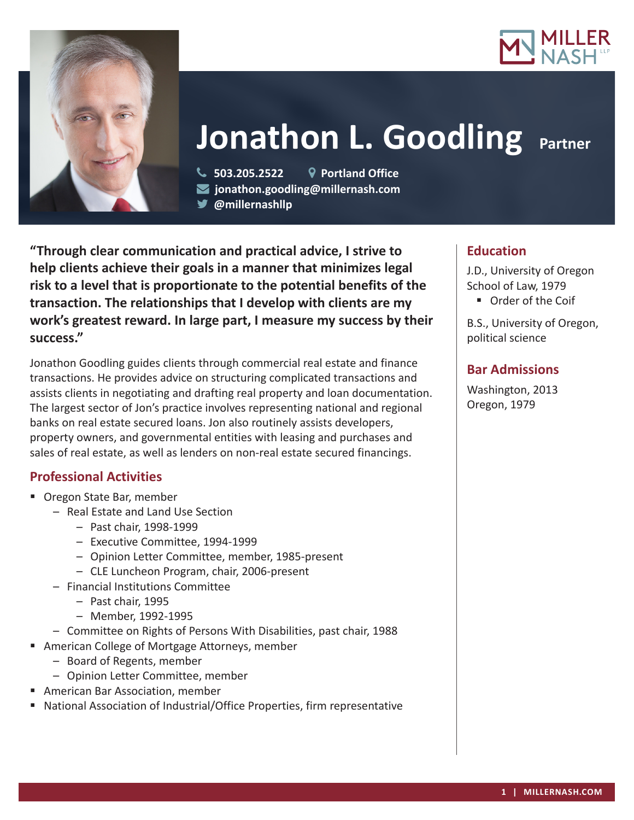



# **Jonathon L. Goodling Partner**

 **503.205.2522 Portland Office jonathon.goodling@millernash.com** 

**@millernashllp** 

**"Through clear communication and practical advice, I strive to help clients achieve their goals in a manner that minimizes legal risk to a level that is proportionate to the potential benefits of the transaction. The relationships that I develop with clients are my work's greatest reward. In large part, I measure my success by their success."**

Jonathon Goodling guides clients through commercial real estate and finance transactions. He provides advice on structuring complicated transactions and assists clients in negotiating and drafting real property and loan documentation. The largest sector of Jon's practice involves representing national and regional banks on real estate secured loans. Jon also routinely assists developers, property owners, and governmental entities with leasing and purchases and sales of real estate, as well as lenders on non-real estate secured financings.

# **Professional Activities**

- Oregon State Bar, member
	- Real Estate and Land Use Section
		- Past chair, 1998-1999
		- Executive Committee, 1994-1999
		- Opinion Letter Committee, member, 1985-present
		- CLE Luncheon Program, chair, 2006-present
	- Financial Institutions Committee
		- Past chair, 1995
		- Member, 1992-1995
	- Committee on Rights of Persons With Disabilities, past chair, 1988
- American College of Mortgage Attorneys, member
	- Board of Regents, member
	- Opinion Letter Committee, member
- American Bar Association, member
- National Association of Industrial/Office Properties, firm representative

# **Education**

J.D., University of Oregon School of Law, 1979

■ Order of the Coif

B.S., University of Oregon, political science

# **Bar Admissions**

Washington, 2013 Oregon, 1979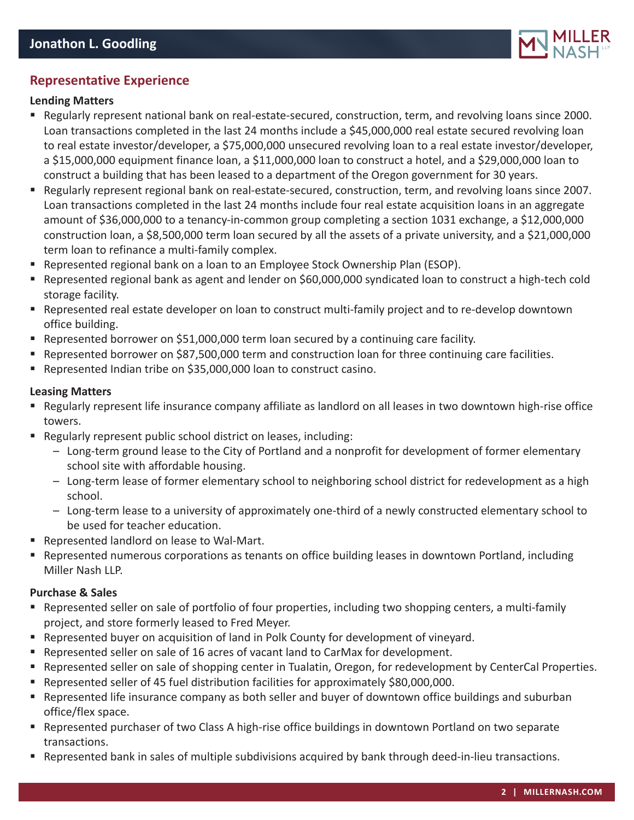

## **Representative Experience**

#### **Lending Matters**

- Regularly represent national bank on real-estate-secured, construction, term, and revolving loans since 2000. Loan transactions completed in the last 24 months include a \$45,000,000 real estate secured revolving loan to real estate investor/developer, a \$75,000,000 unsecured revolving loan to a real estate investor/developer, a \$15,000,000 equipment finance loan, a \$11,000,000 loan to construct a hotel, and a \$29,000,000 loan to construct a building that has been leased to a department of the Oregon government for 30 years.
- Regularly represent regional bank on real-estate-secured, construction, term, and revolving loans since 2007. Loan transactions completed in the last 24 months include four real estate acquisition loans in an aggregate amount of \$36,000,000 to a tenancy-in-common group completing a section 1031 exchange, a \$12,000,000 construction loan, a \$8,500,000 term loan secured by all the assets of a private university, and a \$21,000,000 term loan to refinance a multi-family complex.
- **Represented regional bank on a loan to an Employee Stock Ownership Plan (ESOP).**
- Represented regional bank as agent and lender on \$60,000,000 syndicated loan to construct a high-tech cold storage facility.
- Represented real estate developer on loan to construct multi-family project and to re-develop downtown office building.
- Represented borrower on \$51,000,000 term loan secured by a continuing care facility.
- Represented borrower on \$87,500,000 term and construction loan for three continuing care facilities.
- Represented Indian tribe on \$35,000,000 loan to construct casino.

#### **Leasing Matters**

- Regularly represent life insurance company affiliate as landlord on all leases in two downtown high-rise office towers.
- Regularly represent public school district on leases, including:
	- Long-term ground lease to the City of Portland and a nonprofit for development of former elementary school site with affordable housing.
	- Long-term lease of former elementary school to neighboring school district for redevelopment as a high school.
	- Long-term lease to a university of approximately one-third of a newly constructed elementary school to be used for teacher education.
- Represented landlord on lease to Wal-Mart.
- Represented numerous corporations as tenants on office building leases in downtown Portland, including Miller Nash LLP.

#### **Purchase & Sales**

- Represented seller on sale of portfolio of four properties, including two shopping centers, a multi-family project, and store formerly leased to Fred Meyer.
- Represented buyer on acquisition of land in Polk County for development of vineyard.
- Represented seller on sale of 16 acres of vacant land to CarMax for development.
- Represented seller on sale of shopping center in Tualatin, Oregon, for redevelopment by CenterCal Properties.
- Represented seller of 45 fuel distribution facilities for approximately \$80,000,000.
- Represented life insurance company as both seller and buyer of downtown office buildings and suburban office/flex space.
- Represented purchaser of two Class A high-rise office buildings in downtown Portland on two separate transactions.
- Represented bank in sales of multiple subdivisions acquired by bank through deed-in-lieu transactions.